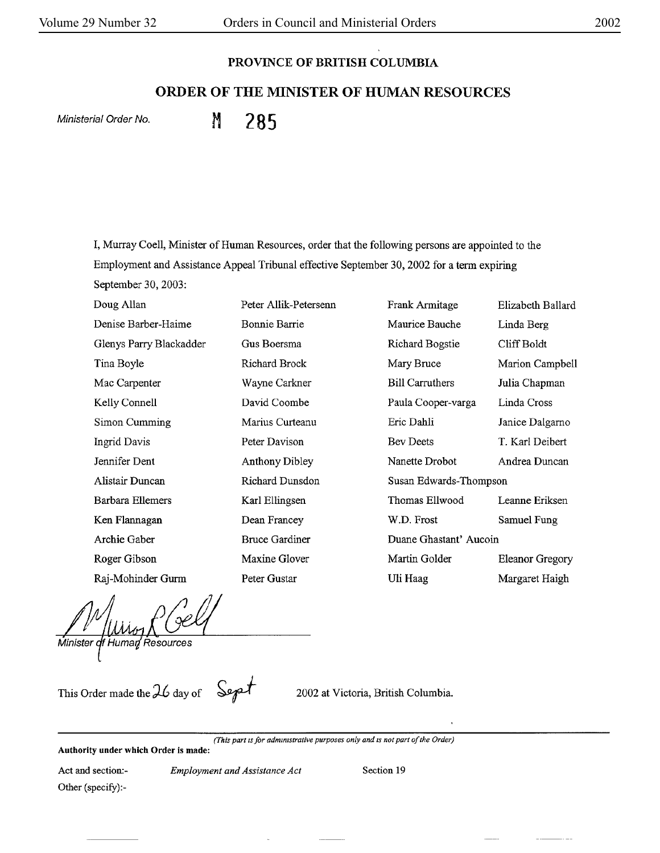## **PROVINCE OF BRITISH COLUMBIA**

## **ORDER OF THE MINISTER OF HUMAN RESOURCES**

Ministerial Order No. M. 285

I, Murray Coell, Minister of Human Resources, order that the following persons are appointed to the Employment and Assistance Appeal Tribunal effective September 30, 2002 for a term expiring September 30, 2003:

| Doug Allan              | Peter Allik-Petersenn | Frank Armitage         | Elizabeth Ballard      |
|-------------------------|-----------------------|------------------------|------------------------|
| Denise Barber-Haime     | Bonnie Barrie         | Maurice Bauche         | Linda Berg             |
| Glenys Parry Blackadder | Gus Boersma           | <b>Richard Bogstie</b> | Cliff Boldt            |
| Tina Boyle              | Richard Brock         | Mary Bruce             | Marion Campbell        |
| Mac Carpenter           | Wayne Carkner         | <b>Bill Carruthers</b> | Julia Chapman          |
| Kelly Connell           | David Coombe          | Paula Cooper-varga     | Linda Cross            |
| Simon Cumming           | Marius Curteanu       | Eric Dahli             | Janice Dalgarno        |
| Ingrid Davis            | Peter Davison         | <b>Bev Deets</b>       | T. Karl Deibert        |
| Jennifer Dent           | <b>Anthony Dibley</b> | Nanette Drobot         | Andrea Duncan          |
| Alistair Duncan         | Richard Dunsdon       | Susan Edwards-Thompson |                        |
| Barbara Ellemers        | Karl Ellingsen        | Thomas Ellwood         | Leanne Eriksen         |
| Ken Flannagan           | Dean Francey          | W.D. Frost             | Samuel Fung            |
| Archie Gaber            | <b>Bruce Gardiner</b> | Duane Ghastant' Aucoin |                        |
| Roger Gibson            | Maxine Glover         | Martin Golder          | <b>Eleanor Gregory</b> |
| Raj-Mohinder Gurm       | Peter Gustar          | Uli Haag               | Margaret Haigh         |

Multiple Cel

This Order made the  $26$  day of  $\sqrt{2002}$  at Victoria, British Columbia.

*(This part ts for admm1stratlve purposes only and is not part of the Order)* 

**Authority under which Order is made:** 

Act and section:- Other (specify):-

*Employment and Assistance Act* Section 19

 $\pmb{\mathsf{t}}$